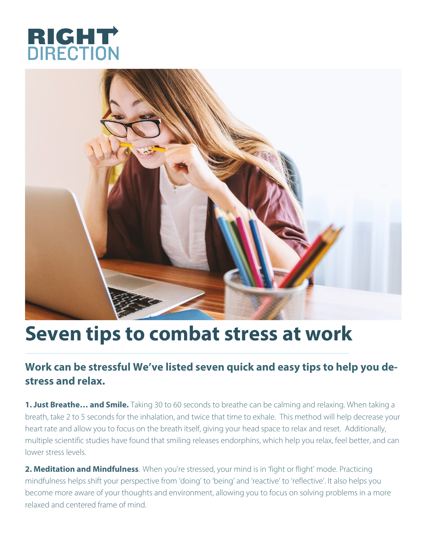



## **Seven tips to combat stress at work**

## **Work can be stressful We've listed seven quick and easy tips to help you destress and relax.**

**1. Just Breathe… and Smile.** Taking 30 to 60 seconds to breathe can be calming and relaxing. When taking a breath, take 2 to 5 seconds for the inhalation, and twice that time to exhale. This method will help decrease your heart rate and allow you to focus on the breath itself, giving your head space to relax and reset. Additionally, multiple scientific studies have found that smiling releases endorphins, which help you relax, feel better, and can lower stress levels.

**2. Meditation and Mindfulness**. When you're stressed, your mind is in 'fight or flight' mode. Practicing mindfulness helps shift your perspective from 'doing' to 'being' and 'reactive' to 'reflective'. It also helps you become more aware of your thoughts and environment, allowing you to focus on solving problems in a more relaxed and centered frame of mind.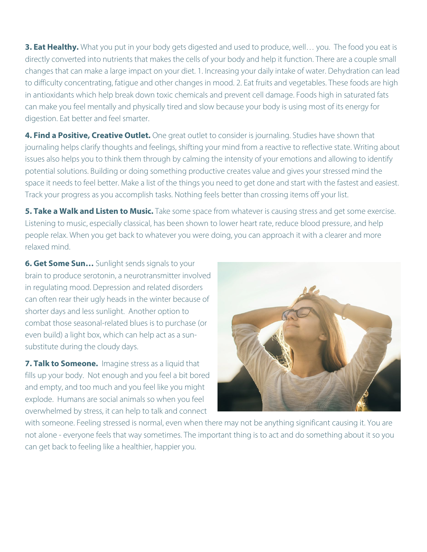**3. Eat Healthy.** What you put in your body gets digested and used to produce, well… you. The food you eat is directly converted into nutrients that makes the cells of your body and help it function. There are a couple small changes that can make a large impact on your diet. 1. Increasing your daily intake of water. Dehydration can lead to difficulty concentrating, fatigue and other changes in mood. 2. Eat fruits and vegetables. These foods are high in antioxidants which help break down toxic chemicals and prevent cell damage. Foods high in saturated fats can make you feel mentally and physically tired and slow because your body is using most of its energy for digestion. Eat better and feel smarter.

**4. Find a Positive, Creative Outlet.** One great outlet to consider is journaling. Studies have shown that journaling helps clarify thoughts and feelings, shifting your mind from a reactive to reflective state. Writing about issues also helps you to think them through by calming the intensity of your emotions and allowing to identify potential solutions. Building or doing something productive creates value and gives your stressed mind the space it needs to feel better. Make a list of the things you need to get done and start with the fastest and easiest. Track your progress as you accomplish tasks. Nothing feels better than crossing items off your list.

**5. Take a Walk and Listen to Music.** Take some space from whatever is causing stress and get some exercise. Listening to music, especially classical, has been shown to lower heart rate, reduce blood pressure, and help people relax. When you get back to whatever you were doing, you can approach it with a clearer and more relaxed mind.

**6. Get Some Sun…** Sunlight sends signals to your brain to produce serotonin, a neurotransmitter involved in regulating mood. Depression and related disorders can often rear their ugly heads in the winter because of shorter days and less sunlight. Another option to combat those seasonal-related blues is to purchase (or even build) a light box, which can help act as a sunsubstitute during the cloudy days.

**7. Talk to Someone.** Imagine stress as a liquid that fills up your body. Not enough and you feel a bit bored and empty, and too much and you feel like you might explode. Humans are social animals so when you feel overwhelmed by stress, it can help to talk and connect



with someone. Feeling stressed is normal, even when there may not be anything significant causing it. You are not alone - everyone feels that way sometimes. The important thing is to act and do something about it so you can get back to feeling like a healthier, happier you.